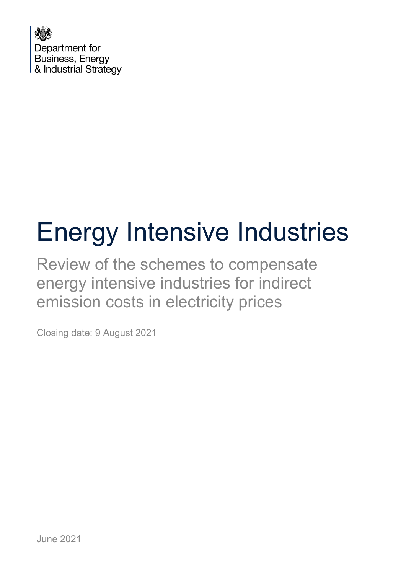

# Energy Intensive Industries

Review of the schemes to compensate energy intensive industries for indirect emission costs in electricity prices

Closing date: 9 August 2021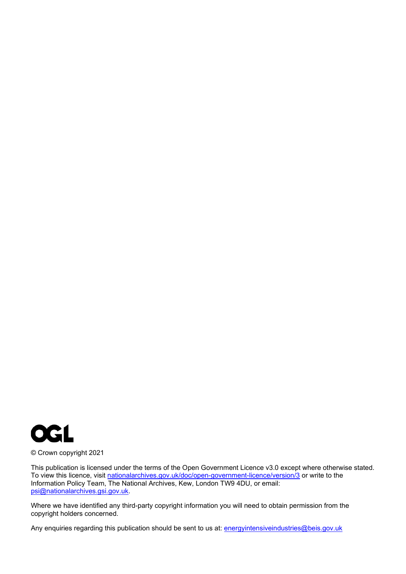

© Crown copyright 2021

This publication is licensed under the terms of the Open Government Licence v3.0 except where otherwise stated. To view this licence, visit [nationalarchives.gov.uk/doc/open-government-licence/version/3](http://nationalarchives.gov.uk/doc/open-government-licence/version/3/) or write to the Information Policy Team, The National Archives, Kew, London TW9 4DU, or email: [psi@nationalarchives.gsi.gov.uk.](mailto:psi@nationalarchives.gsi.gov.uk)

Where we have identified any third-party copyright information you will need to obtain permission from the copyright holders concerned.

Any enquiries regarding this publication should be sent to us at: **[energyintensiveindustries@beis.gov.uk](mailto:energyintensiveindustries@beis.gov.uk)**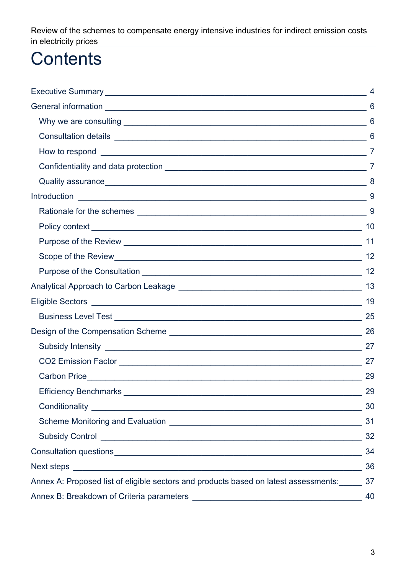## **Contents**

|                                                                                      | 4              |
|--------------------------------------------------------------------------------------|----------------|
|                                                                                      |                |
|                                                                                      |                |
|                                                                                      |                |
|                                                                                      | $\overline{7}$ |
|                                                                                      |                |
|                                                                                      |                |
|                                                                                      | 9              |
|                                                                                      |                |
|                                                                                      | 10             |
|                                                                                      | 11             |
|                                                                                      | 12             |
|                                                                                      |                |
|                                                                                      | 13             |
|                                                                                      |                |
|                                                                                      |                |
|                                                                                      | 26             |
|                                                                                      |                |
|                                                                                      |                |
|                                                                                      | 29             |
|                                                                                      | 29             |
|                                                                                      | 30             |
|                                                                                      | 31             |
|                                                                                      | 32             |
|                                                                                      | 34             |
|                                                                                      | 36             |
| Annex A: Proposed list of eligible sectors and products based on latest assessments: | 37             |
|                                                                                      | 40             |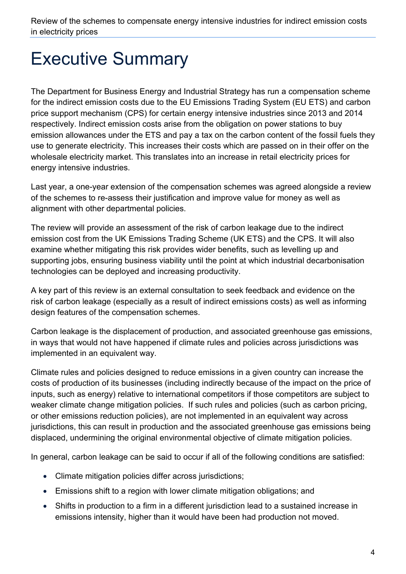## <span id="page-3-0"></span>Executive Summary

The Department for Business Energy and Industrial Strategy has run a compensation scheme for the indirect emission costs due to the EU Emissions Trading System (EU ETS) and carbon price support mechanism (CPS) for certain energy intensive industries since 2013 and 2014 respectively. Indirect emission costs arise from the obligation on power stations to buy emission allowances under the ETS and pay a tax on the carbon content of the fossil fuels they use to generate electricity. This increases their costs which are passed on in their offer on the wholesale electricity market. This translates into an increase in retail electricity prices for energy intensive industries.

Last year, a one-year extension of the compensation schemes was agreed alongside a review of the schemes to re-assess their justification and improve value for money as well as alignment with other departmental policies.

The review will provide an assessment of the risk of carbon leakage due to the indirect emission cost from the UK Emissions Trading Scheme (UK ETS) and the CPS. It will also examine whether mitigating this risk provides wider benefits, such as levelling up and supporting jobs, ensuring business viability until the point at which industrial decarbonisation technologies can be deployed and increasing productivity.

A key part of this review is an external consultation to seek feedback and evidence on the risk of carbon leakage (especially as a result of indirect emissions costs) as well as informing design features of the compensation schemes.

Carbon leakage is the displacement of production, and associated greenhouse gas emissions, in ways that would not have happened if climate rules and policies across jurisdictions was implemented in an equivalent way.

Climate rules and policies designed to reduce emissions in a given country can increase the costs of production of its businesses (including indirectly because of the impact on the price of inputs, such as energy) relative to international competitors if those competitors are subject to weaker climate change mitigation policies. If such rules and policies (such as carbon pricing, or other emissions reduction policies), are not implemented in an equivalent way across jurisdictions, this can result in production and the associated greenhouse gas emissions being displaced, undermining the original environmental objective of climate mitigation policies.

In general, carbon leakage can be said to occur if all of the following conditions are satisfied:

- Climate mitigation policies differ across jurisdictions;
- Emissions shift to a region with lower climate mitigation obligations; and
- Shifts in production to a firm in a different jurisdiction lead to a sustained increase in emissions intensity, higher than it would have been had production not moved.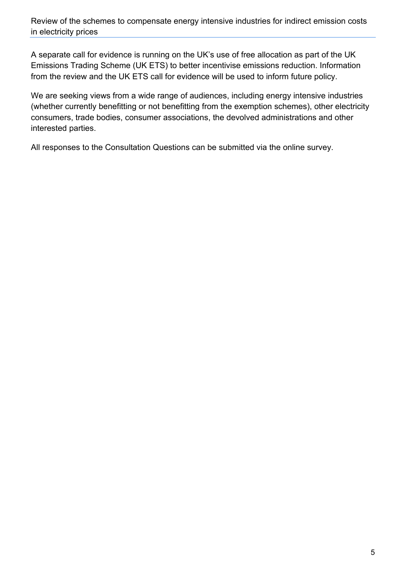A separate call for evidence is running on the UK's use of free allocation as part of the UK Emissions Trading Scheme (UK ETS) to better incentivise emissions reduction. Information from the review and the UK ETS call for evidence will be used to inform future policy.

We are seeking views from a wide range of audiences, including energy intensive industries (whether currently benefitting or not benefitting from the exemption schemes), other electricity consumers, trade bodies, consumer associations, the devolved administrations and other interested parties.

<span id="page-4-0"></span>All responses to the Consultation Questions can be submitted via the online survey.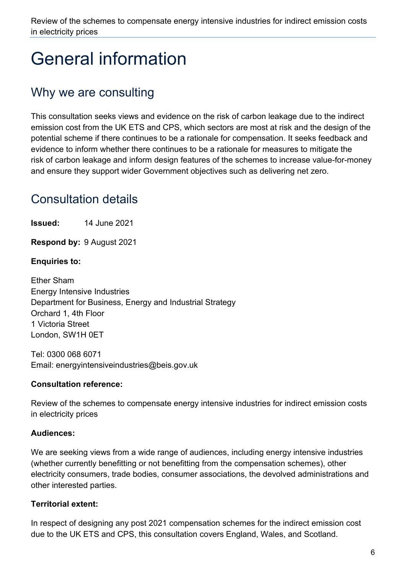## General information

## <span id="page-5-0"></span>Why we are consulting

This consultation seeks views and evidence on the risk of carbon leakage due to the indirect emission cost from the UK ETS and CPS, which sectors are most at risk and the design of the potential scheme if there continues to be a rationale for compensation. It seeks feedback and evidence to inform whether there continues to be a rationale for measures to mitigate the risk of carbon leakage and inform design features of the schemes to increase value-for-money and ensure they support wider Government objectives such as delivering net zero.

## <span id="page-5-1"></span>Consultation details

**Issued:** 14 June 2021

**Respond by:** 9 August 2021

#### **Enquiries to:**

Ether Sham Energy Intensive Industries Department for Business, Energy and Industrial Strategy Orchard 1, 4th Floor 1 Victoria Street London, SW1H 0ET

Tel: 0300 068 6071 Email: [energyintensiveindustries@beis.gov.uk](mailto:energyintensiveindustries@beis.gov.uk)

#### **Consultation reference:**

Review of the schemes to compensate energy intensive industries for indirect emission costs in electricity prices

#### **Audiences:**

We are seeking views from a wide range of audiences, including energy intensive industries (whether currently benefitting or not benefitting from the compensation schemes), other electricity consumers, trade bodies, consumer associations, the devolved administrations and other interested parties.

#### **Territorial extent:**

In respect of designing any post 2021 compensation schemes for the indirect emission cost due to the UK ETS and CPS, this consultation covers England, Wales, and Scotland.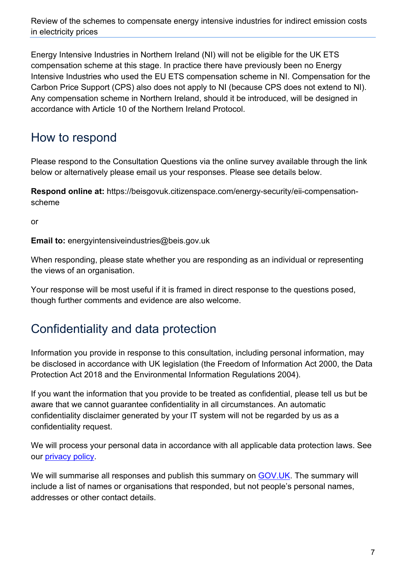Energy Intensive Industries in Northern Ireland (NI) will not be eligible for the UK ETS compensation scheme at this stage. In practice there have previously been no Energy Intensive Industries who used the EU ETS compensation scheme in NI. Compensation for the Carbon Price Support (CPS) also does not apply to NI (because CPS does not extend to NI). Any compensation scheme in Northern Ireland, should it be introduced, will be designed in accordance with Article 10 of the Northern Ireland Protocol.

### <span id="page-6-0"></span>How to respond

Please respond to the Consultation Questions via the online survey available through the link below or alternatively please email us your responses. Please see details below.

**Respond online at:** https://beisgovuk.citizenspace.com/energy-security/eii-compensationscheme

or

**Email to:** [energyintensiveindustries@beis.gov.uk](mailto:energyintensiveindustries@beis.gov.uk)

When responding, please state whether you are responding as an individual or representing the views of an organisation.

Your response will be most useful if it is framed in direct response to the questions posed, though further comments and evidence are also welcome.

### <span id="page-6-1"></span>Confidentiality and data protection

Information you provide in response to this consultation, including personal information, may be disclosed in accordance with UK legislation (the Freedom of Information Act 2000, the Data Protection Act 2018 and the Environmental Information Regulations 2004).

If you want the information that you provide to be treated as confidential, please tell us but be aware that we cannot guarantee confidentiality in all circumstances. An automatic confidentiality disclaimer generated by your IT system will not be regarded by us as a confidentiality request.

We will process your personal data in accordance with all applicable data protection laws. See our [privacy policy.](https://www.gov.uk/government/organisations/department-for-business-energy-and-industrial-strategy/about/personal-information-charter)

We will summarise all responses and publish this summary on [GOV.UK.](https://www.gov.uk/government/publications?keywords=&publication_filter_option=closed-consultations&topics%5B%5D=all&departments%5B%5D=department-for-business-energy-and-industrial-strategy&official_document_status=all&world_locations%5B%5D=all&from_date=&to_date=) The summary will include a list of names or organisations that responded, but not people's personal names, addresses or other contact details.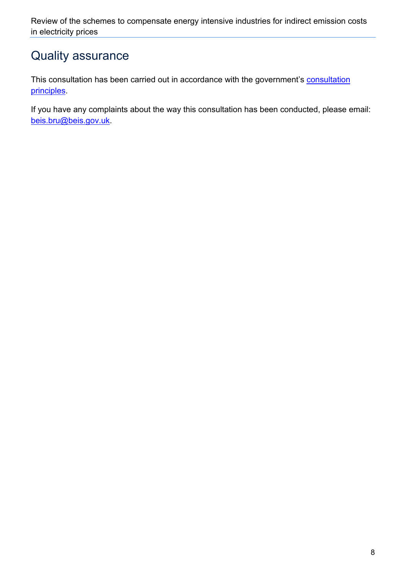### <span id="page-7-0"></span>Quality assurance

This [consultation](https://www.gov.uk/government/publications/consultation-principles-guidance) has been carried out in accordance with the government's consultation [principles.](https://www.gov.uk/government/publications/consultation-principles-guidance)

<span id="page-7-1"></span>If you have any complaints about the way this consultation has been conducted, please email: [beis.bru@beis.gov.uk.](mailto:beis.bru@beis.gov.uk)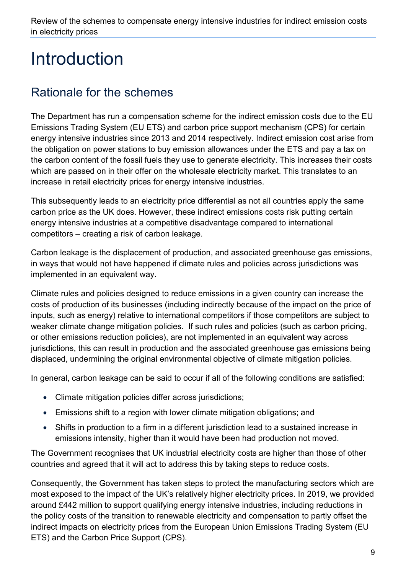## Introduction

## <span id="page-8-0"></span>Rationale for the schemes

The Department has run a compensation scheme for the indirect emission costs due to the EU Emissions Trading System (EU ETS) and carbon price support mechanism (CPS) for certain energy intensive industries since 2013 and 2014 respectively. Indirect emission cost arise from the obligation on power stations to buy emission allowances under the ETS and pay a tax on the carbon content of the fossil fuels they use to generate electricity. This increases their costs which are passed on in their offer on the wholesale electricity market. This translates to an increase in retail electricity prices for energy intensive industries.

This subsequently leads to an electricity price differential as not all countries apply the same carbon price as the UK does. However, these indirect emissions costs risk putting certain energy intensive industries at a competitive disadvantage compared to international competitors – creating a risk of carbon leakage.

Carbon leakage is the displacement of production, and associated greenhouse gas emissions, in ways that would not have happened if climate rules and policies across jurisdictions was implemented in an equivalent way.

Climate rules and policies designed to reduce emissions in a given country can increase the costs of production of its businesses (including indirectly because of the impact on the price of inputs, such as energy) relative to international competitors if those competitors are subject to weaker climate change mitigation policies. If such rules and policies (such as carbon pricing, or other emissions reduction policies), are not implemented in an equivalent way across jurisdictions, this can result in production and the associated greenhouse gas emissions being displaced, undermining the original environmental objective of climate mitigation policies.

In general, carbon leakage can be said to occur if all of the following conditions are satisfied:

- Climate mitigation policies differ across jurisdictions;
- Emissions shift to a region with lower climate mitigation obligations; and
- Shifts in production to a firm in a different jurisdiction lead to a sustained increase in emissions intensity, higher than it would have been had production not moved.

The Government recognises that UK industrial electricity costs are higher than those of other countries and agreed that it will act to address this by taking steps to reduce costs.

Consequently, the Government has taken steps to protect the manufacturing sectors which are most exposed to the impact of the UK's relatively higher electricity prices. In 2019, we provided around £442 million to support qualifying energy intensive industries, including reductions in the policy costs of the transition to renewable electricity and compensation to partly offset the indirect impacts on electricity prices from the European Union Emissions Trading System (EU ETS) and the Carbon Price Support (CPS).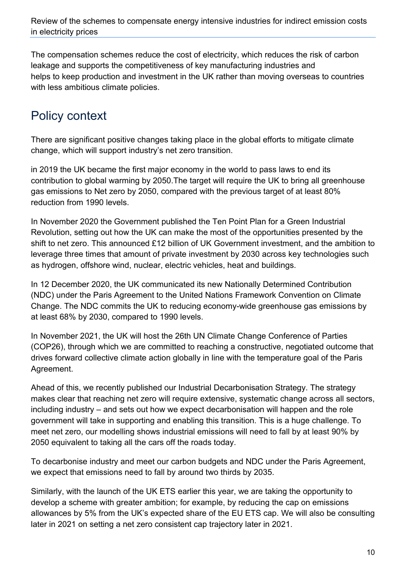The compensation schemes reduce the cost of electricity, which reduces the risk of carbon leakage and supports the competitiveness of key manufacturing industries and helps to keep production and investment in the UK rather than moving overseas to countries with less ambitious climate policies.

## <span id="page-9-0"></span>Policy context

There are significant positive changes taking place in the global efforts to mitigate climate change, which will support industry's net zero transition.

in 2019 the UK became the first major economy in the world to pass laws to end its contribution to global warming by 2050.The target will require the UK to bring all greenhouse gas emissions to Net zero by 2050, compared with the previous target of at least 80% reduction from 1990 levels.

In November 2020 the Government published the Ten Point Plan for a Green Industrial Revolution, setting out how the UK can make the most of the opportunities presented by the shift to net zero. This announced £12 billion of UK Government investment, and the ambition to leverage three times that amount of private investment by 2030 across key technologies such as hydrogen, offshore wind, nuclear, electric vehicles, heat and buildings.

In 12 December 2020, the UK communicated its new Nationally Determined Contribution (NDC) under the Paris Agreement to the United Nations Framework Convention on Climate Change. The NDC commits the UK to reducing economy-wide greenhouse gas emissions by at least 68% by 2030, compared to 1990 levels.

In November 2021, the UK will host the 26th UN Climate Change Conference of Parties (COP26), through which we are committed to reaching a constructive, negotiated outcome that drives forward collective climate action globally in line with the temperature goal of the Paris Agreement.

Ahead of this, we recently published our Industrial Decarbonisation Strategy. The strategy makes clear that reaching net zero will require extensive, systematic change across all sectors, including industry – and sets out how we expect decarbonisation will happen and the role government will take in supporting and enabling this transition. This is a huge challenge. To meet net zero, our modelling shows industrial emissions will need to fall by at least 90% by 2050 equivalent to taking all the cars off the roads today.

To decarbonise industry and meet our carbon budgets and NDC under the Paris Agreement, we expect that emissions need to fall by around two thirds by 2035.

Similarly, with the launch of the UK ETS earlier this year, we are taking the opportunity to develop a scheme with greater ambition; for example, by reducing the cap on emissions allowances by 5% from the UK's expected share of the EU ETS cap. We will also be consulting later in 2021 on setting a net zero consistent cap trajectory later in 2021.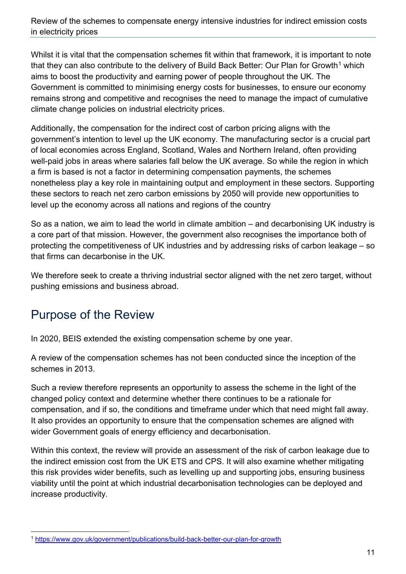Whilst it is vital that the compensation schemes fit within that framework, it is important to note that they can also contribute to the delivery of Build Back Better: Our Plan for Growth<sup>[1](#page-10-1)</sup> which aims to boost the productivity and earning power of people throughout the UK. The Government is committed to minimising energy costs for businesses, to ensure our economy remains strong and competitive and recognises the need to manage the impact of cumulative climate change policies on industrial electricity prices.

Additionally, the compensation for the indirect cost of carbon pricing aligns with the government's intention to level up the UK economy. The manufacturing sector is a crucial part of local economies across England, Scotland, Wales and Northern Ireland, often providing well-paid jobs in areas where salaries fall below the UK average. So while the region in which a firm is based is not a factor in determining compensation payments, the schemes nonetheless play a key role in maintaining output and employment in these sectors. Supporting these sectors to reach net zero carbon emissions by 2050 will provide new opportunities to level up the economy across all nations and regions of the country

So as a nation, we aim to lead the world in climate ambition – and decarbonising UK industry is a core part of that mission. However, the government also recognises the importance both of protecting the competitiveness of UK industries and by addressing risks of carbon leakage – so that firms can decarbonise in the UK.

We therefore seek to create a thriving industrial sector aligned with the net zero target, without pushing emissions and business abroad.

## <span id="page-10-0"></span>Purpose of the Review

In 2020, BEIS extended the existing compensation scheme by one year.

A review of the compensation schemes has not been conducted since the inception of the schemes in 2013.

Such a review therefore represents an opportunity to assess the scheme in the light of the changed policy context and determine whether there continues to be a rationale for compensation, and if so, the conditions and timeframe under which that need might fall away. It also provides an opportunity to ensure that the compensation schemes are aligned with wider Government goals of energy efficiency and decarbonisation.

Within this context, the review will provide an assessment of the risk of carbon leakage due to the indirect emission cost from the UK ETS and CPS. It will also examine whether mitigating this risk provides wider benefits, such as levelling up and supporting jobs, ensuring business viability until the point at which industrial decarbonisation technologies can be deployed and increase productivity.

<span id="page-10-1"></span><sup>1</sup> <https://www.gov.uk/government/publications/build-back-better-our-plan-for-growth>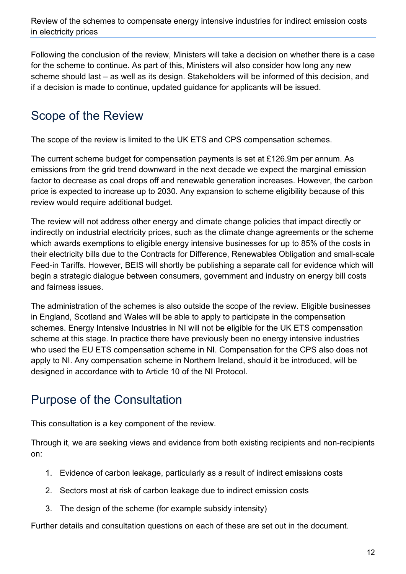Following the conclusion of the review, Ministers will take a decision on whether there is a case for the scheme to continue. As part of this, Ministers will also consider how long any new scheme should last – as well as its design. Stakeholders will be informed of this decision, and if a decision is made to continue, updated guidance for applicants will be issued.

## <span id="page-11-0"></span>Scope of the Review

The scope of the review is limited to the UK ETS and CPS compensation schemes.

The current scheme budget for compensation payments is set at £126.9m per annum. As emissions from the grid trend downward in the next decade we expect the marginal emission factor to decrease as coal drops off and renewable generation increases. However, the carbon price is expected to increase up to 2030. Any expansion to scheme eligibility because of this review would require additional budget.

The review will not address other energy and climate change policies that impact directly or indirectly on industrial electricity prices, such as the climate change agreements or the scheme which awards exemptions to eligible energy intensive businesses for up to 85% of the costs in their electricity bills due to the Contracts for Difference, Renewables Obligation and small-scale Feed-in Tariffs. However, BEIS will shortly be publishing a separate call for evidence which will begin a strategic dialogue between consumers, government and industry on energy bill costs and fairness issues.

The administration of the schemes is also outside the scope of the review. Eligible businesses in England, Scotland and Wales will be able to apply to participate in the compensation schemes. Energy Intensive Industries in NI will not be eligible for the UK ETS compensation scheme at this stage. In practice there have previously been no energy intensive industries who used the EU ETS compensation scheme in NI. Compensation for the CPS also does not apply to NI. Any compensation scheme in Northern Ireland, should it be introduced, will be designed in accordance with to Article 10 of the NI Protocol.

### <span id="page-11-1"></span>Purpose of the Consultation

This consultation is a key component of the review.

Through it, we are seeking views and evidence from both existing recipients and non-recipients on:

- 1. Evidence of carbon leakage, particularly as a result of indirect emissions costs
- 2. Sectors most at risk of carbon leakage due to indirect emission costs
- 3. The design of the scheme (for example subsidy intensity)

Further details and consultation questions on each of these are set out in the document.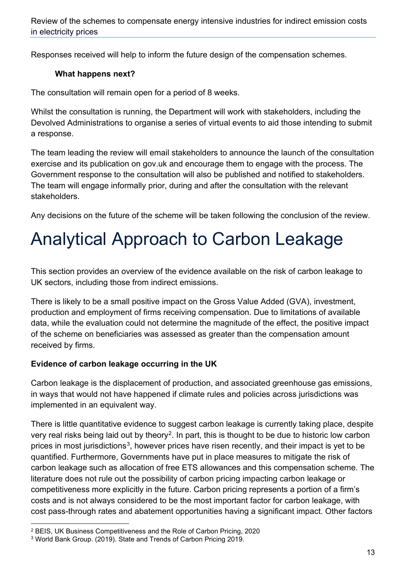Responses received will help to inform the future design of the compensation schemes.

#### **What happens next?**

The consultation will remain open for a period of 8 weeks.

Whilst the consultation is running, the Department will work with stakeholders, including the Devolved Administrations to organise a series of virtual events to aid those intending to submit a response.

The team leading the review will email stakeholders to announce the launch of the consultation exercise and its publication on gov.uk and encourage them to engage with the process. The Government response to the consultation will also be published and notified to stakeholders. The team will engage informally prior, during and after the consultation with the relevant stakeholders.

Any decisions on the future of the scheme will be taken following the conclusion of the review.

## <span id="page-12-0"></span>Analytical Approach to Carbon Leakage

This section provides an overview of the evidence available on the risk of carbon leakage to UK sectors, including those from indirect emissions.

There is likely to be a small positive impact on the Gross Value Added (GVA), investment, production and employment of firms receiving compensation. Due to limitations of available data, while the evaluation could not determine the magnitude of the effect, the positive impact of the scheme on beneficiaries was assessed as greater than the compensation amount received by firms.

#### **Evidence of carbon leakage occurring in the UK**

Carbon leakage is the displacement of production, and associated greenhouse gas emissions, in ways that would not have happened if climate rules and policies across jurisdictions was implemented in an equivalent way.

There is little quantitative evidence to suggest carbon leakage is currently taking place, despite very real risks being laid out by theory<sup>2</sup>. In part, this is thought to be due to historic low carbon prices in most jurisdictions<sup>[3](#page-12-2)</sup>, however prices have risen recently, and their impact is yet to be quantified. Furthermore, Governments have put in place measures to mitigate the risk of carbon leakage such as allocation of free ETS allowances and this compensation scheme. The literature does not rule out the possibility of carbon pricing impacting carbon leakage or competitiveness more explicitly in the future. Carbon pricing represents a portion of a firm's costs and is not always considered to be the most important factor for carbon leakage, with cost pass-through rates and abatement opportunities having a significant impact. Other factors

<span id="page-12-1"></span><sup>2</sup> BEIS, UK Business Competitiveness and the Role of Carbon Pricing, 2020

<span id="page-12-2"></span><sup>3</sup> World Bank Group. (2019). State and Trends of Carbon Pricing 2019.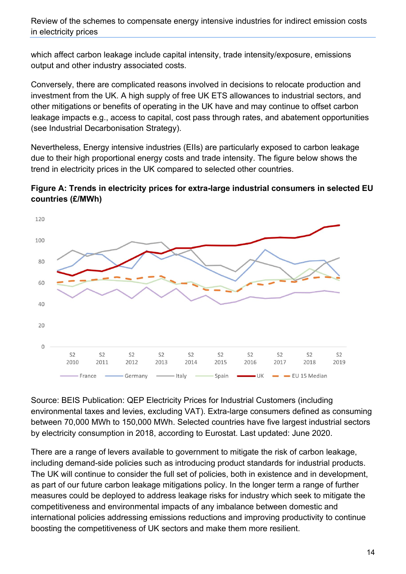which affect carbon leakage include capital intensity, trade intensity/exposure, emissions output and other industry associated costs.

Conversely, there are complicated reasons involved in decisions to relocate production and investment from the UK. A high supply of free UK ETS allowances to industrial sectors, and other mitigations or benefits of operating in the UK have and may continue to offset carbon leakage impacts e.g., access to capital, cost pass through rates, and abatement opportunities (see Industrial Decarbonisation Strategy).

Nevertheless, Energy intensive industries (EIIs) are particularly exposed to carbon leakage due to their high proportional energy costs and trade intensity. The figure below shows the trend in electricity prices in the UK compared to selected other countries.





Source: BEIS Publication: QEP Electricity Prices for Industrial Customers (including environmental taxes and levies, excluding VAT). Extra-large consumers defined as consuming between 70,000 MWh to 150,000 MWh. Selected countries have five largest industrial sectors by electricity consumption in 2018, according to Eurostat. Last updated: June 2020.

There are a range of levers available to government to mitigate the risk of carbon leakage, including demand-side policies such as introducing product standards for industrial products. The UK will continue to consider the full set of policies, both in existence and in development, as part of our future carbon leakage mitigations policy. In the longer term a range of further measures could be deployed to address leakage risks for industry which seek to mitigate the competitiveness and environmental impacts of any imbalance between domestic and international policies addressing emissions reductions and improving productivity to continue boosting the competitiveness of UK sectors and make them more resilient.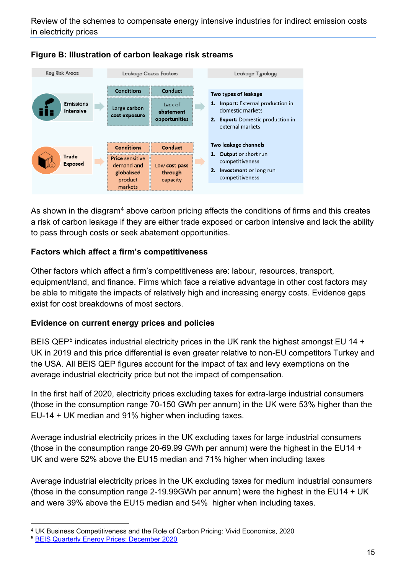



As shown in the diagram<sup>[4](#page-14-0)</sup> above carbon pricing affects the conditions of firms and this creates a risk of carbon leakage if they are either trade exposed or carbon intensive and lack the ability to pass through costs or seek abatement opportunities.

#### **Factors which affect a firm's competitiveness**

Other factors which affect a firm's competitiveness are: labour, resources, transport, equipment/land, and finance. Firms which face a relative advantage in other cost factors may be able to mitigate the impacts of relatively high and increasing energy costs. Evidence gaps exist for cost breakdowns of most sectors.

#### **Evidence on current energy prices and policies**

BEIS QEP<sup>[5](#page-14-1)</sup> indicates industrial electricity prices in the UK rank the highest amongst EU 14 + UK in 2019 and this price differential is even greater relative to non-EU competitors Turkey and the USA. All BEIS QEP figures account for the impact of tax and levy exemptions on the average industrial electricity price but not the impact of compensation.

In the first half of 2020, electricity prices excluding taxes for extra-large industrial consumers (those in the consumption range 70-150 GWh per annum) in the UK were 53% higher than the EU-14 + UK median and 91% higher when including taxes.

Average industrial electricity prices in the UK excluding taxes for large industrial consumers (those in the consumption range 20-69.99 GWh per annum) were the highest in the EU14 + UK and were 52% above the EU15 median and 71% higher when including taxes

Average industrial electricity prices in the UK excluding taxes for medium industrial consumers (those in the consumption range 2-19.99GWh per annum) were the highest in the EU14 + UK and were 39% above the EU15 median and 54% higher when including taxes.

<span id="page-14-0"></span><sup>4</sup> UK Business Competitiveness and the Role of Carbon Pricing: Vivid Economics, 2020

<span id="page-14-1"></span><sup>5</sup> [BEIS Quarterly Energy Prices: December 2020](https://assets.publishing.service.gov.uk/government/uploads/system/uploads/attachment_data/file/956490/QEP_Q3_2020_Revision.pdf)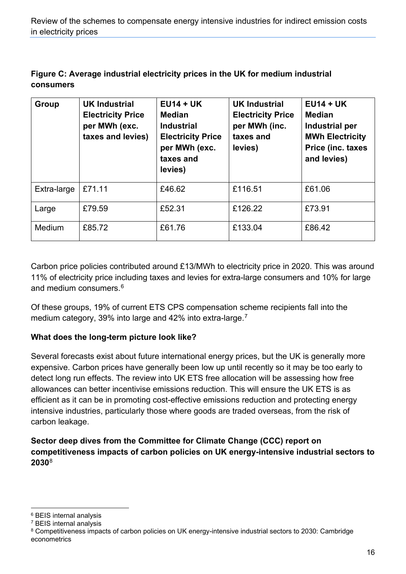| Figure C: Average industrial electricity prices in the UK for medium industrial |
|---------------------------------------------------------------------------------|
| <b>consumers</b>                                                                |

| <b>Group</b> | <b>UK Industrial</b><br><b>Electricity Price</b><br>per MWh (exc.<br>taxes and levies) | $EU14 + UK$<br><b>Median</b><br><b>Industrial</b><br><b>Electricity Price</b><br>per MWh (exc.<br>taxes and<br>levies) | <b>UK Industrial</b><br><b>Electricity Price</b><br>per MWh (inc.<br>taxes and<br>levies) | $EU14 + UK$<br><b>Median</b><br>Industrial per<br><b>MWh Electricity</b><br>Price (inc. taxes<br>and levies) |
|--------------|----------------------------------------------------------------------------------------|------------------------------------------------------------------------------------------------------------------------|-------------------------------------------------------------------------------------------|--------------------------------------------------------------------------------------------------------------|
| Extra-large  | £71.11                                                                                 | £46.62                                                                                                                 | £116.51                                                                                   | £61.06                                                                                                       |
| Large        | £79.59                                                                                 | £52.31                                                                                                                 | £126.22                                                                                   | £73.91                                                                                                       |
| Medium       | £85.72                                                                                 | £61.76                                                                                                                 | £133.04                                                                                   | £86.42                                                                                                       |

Carbon price policies contributed around £13/MWh to electricity price in 2020. This was around 11% of electricity price including taxes and levies for extra-large consumers and 10% for large and medium consumers. [6](#page-15-0)

Of these groups, 19% of current ETS CPS compensation scheme recipients fall into the medium category, 39% into large and 42% into extra-large.<sup>[7](#page-15-1)</sup>

#### **What does the long-term picture look like?**

Several forecasts exist about future international energy prices, but the UK is generally more expensive. Carbon prices have generally been low up until recently so it may be too early to detect long run effects. The review into UK ETS free allocation will be assessing how free allowances can better incentivise emissions reduction. This will ensure the UK ETS is as efficient as it can be in promoting cost-effective emissions reduction and protecting energy intensive industries, particularly those where goods are traded overseas, from the risk of carbon leakage.

**Sector deep dives from the Committee for Climate Change (CCC) report on competitiveness impacts of carbon policies on UK energy-intensive industrial sectors to 2030**[8](#page-15-2)

<span id="page-15-0"></span><sup>6</sup> BEIS internal analysis

<span id="page-15-1"></span><sup>7</sup> BEIS internal analysis

<span id="page-15-2"></span><sup>8</sup> Competitiveness impacts of carbon policies on UK energy-intensive industrial sectors to 2030: Cambridge econometrics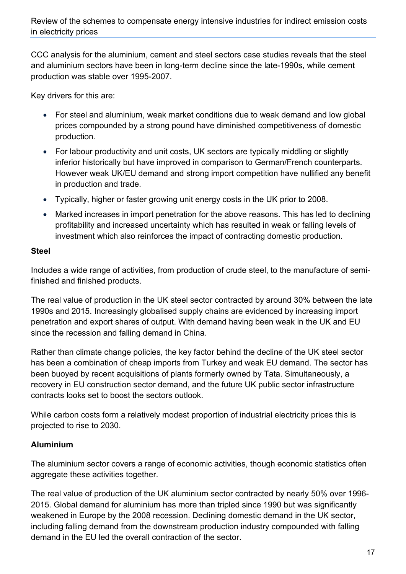CCC analysis for the aluminium, cement and steel sectors case studies reveals that the steel and aluminium sectors have been in long-term decline since the late-1990s, while cement production was stable over 1995-2007.

Key drivers for this are:

- For steel and aluminium, weak market conditions due to weak demand and low global prices compounded by a strong pound have diminished competitiveness of domestic production.
- For labour productivity and unit costs, UK sectors are typically middling or slightly inferior historically but have improved in comparison to German/French counterparts. However weak UK/EU demand and strong import competition have nullified any benefit in production and trade.
- Typically, higher or faster growing unit energy costs in the UK prior to 2008.
- Marked increases in import penetration for the above reasons. This has led to declining profitability and increased uncertainty which has resulted in weak or falling levels of investment which also reinforces the impact of contracting domestic production.

#### **Steel**

Includes a wide range of activities, from production of crude steel, to the manufacture of semifinished and finished products.

The real value of production in the UK steel sector contracted by around 30% between the late 1990s and 2015. Increasingly globalised supply chains are evidenced by increasing import penetration and export shares of output. With demand having been weak in the UK and EU since the recession and falling demand in China.

Rather than climate change policies, the key factor behind the decline of the UK steel sector has been a combination of cheap imports from Turkey and weak EU demand. The sector has been buoyed by recent acquisitions of plants formerly owned by Tata. Simultaneously, a recovery in EU construction sector demand, and the future UK public sector infrastructure contracts looks set to boost the sectors outlook.

While carbon costs form a relatively modest proportion of industrial electricity prices this is projected to rise to 2030.

#### **Aluminium**

The aluminium sector covers a range of economic activities, though economic statistics often aggregate these activities together.

The real value of production of the UK aluminium sector contracted by nearly 50% over 1996- 2015. Global demand for aluminium has more than tripled since 1990 but was significantly weakened in Europe by the 2008 recession. Declining domestic demand in the UK sector, including falling demand from the downstream production industry compounded with falling demand in the EU led the overall contraction of the sector.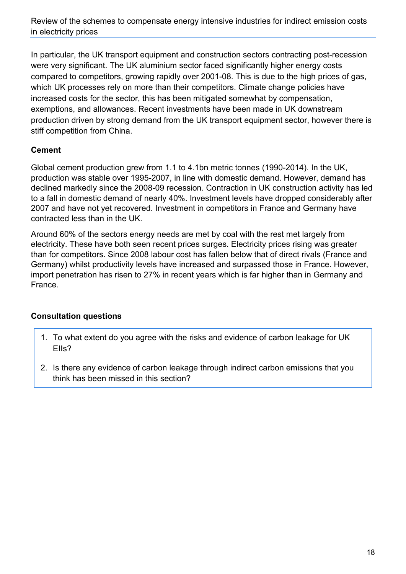In particular, the UK transport equipment and construction sectors contracting post-recession were very significant. The UK aluminium sector faced significantly higher energy costs compared to competitors, growing rapidly over 2001-08. This is due to the high prices of gas, which UK processes rely on more than their competitors. Climate change policies have increased costs for the sector, this has been mitigated somewhat by compensation, exemptions, and allowances. Recent investments have been made in UK downstream production driven by strong demand from the UK transport equipment sector, however there is stiff competition from China.

#### **Cement**

Global cement production grew from 1.1 to 4.1bn metric tonnes (1990-2014). In the UK, production was stable over 1995-2007, in line with domestic demand. However, demand has declined markedly since the 2008-09 recession. Contraction in UK construction activity has led to a fall in domestic demand of nearly 40%. Investment levels have dropped considerably after 2007 and have not yet recovered. Investment in competitors in France and Germany have contracted less than in the UK.

Around 60% of the sectors energy needs are met by coal with the rest met largely from electricity. These have both seen recent prices surges. Electricity prices rising was greater than for competitors. Since 2008 labour cost has fallen below that of direct rivals (France and Germany) whilst productivity levels have increased and surpassed those in France. However, import penetration has risen to 27% in recent years which is far higher than in Germany and France.

#### **Consultation questions**

- 1. To what extent do you agree with the risks and evidence of carbon leakage for UK EIIs?
- <span id="page-17-0"></span>2. Is there any evidence of carbon leakage through indirect carbon emissions that you think has been missed in this section?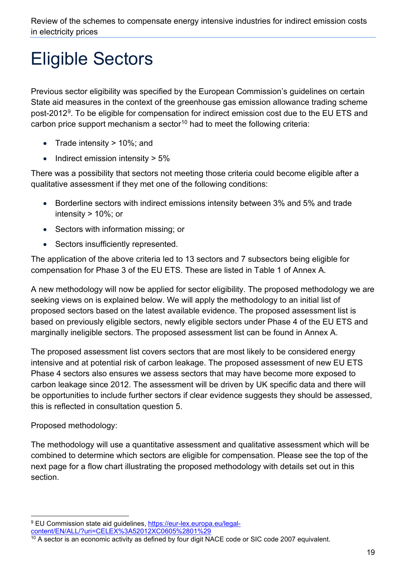## Eligible Sectors

Previous sector eligibility was specified by the European Commission's guidelines on certain State aid measures in the context of the greenhouse gas emission allowance trading scheme post-2012<sup>9</sup>. To be eligible for compensation for indirect emission cost due to the EU ETS and carbon price support mechanism a sector<sup>[10](#page-18-1)</sup> had to meet the following criteria:

- Trade intensity > 10%; and
- Indirect emission intensity > 5%

There was a possibility that sectors not meeting those criteria could become eligible after a qualitative assessment if they met one of the following conditions:

- Borderline sectors with indirect emissions intensity between 3% and 5% and trade intensity > 10%; or
- Sectors with information missing; or
- Sectors insufficiently represented.

The application of the above criteria led to 13 sectors and 7 subsectors being eligible for compensation for Phase 3 of the EU ETS. These are listed in Table 1 of Annex A.

A new methodology will now be applied for sector eligibility. The proposed methodology we are seeking views on is explained below. We will apply the methodology to an initial list of proposed sectors based on the latest available evidence. The proposed assessment list is based on previously eligible sectors, newly eligible sectors under Phase 4 of the EU ETS and marginally ineligible sectors. The proposed assessment list can be found in Annex A.

The proposed assessment list covers sectors that are most likely to be considered energy intensive and at potential risk of carbon leakage. The proposed assessment of new EU ETS Phase 4 sectors also ensures we assess sectors that may have become more exposed to carbon leakage since 2012. The assessment will be driven by UK specific data and there will be opportunities to include further sectors if clear evidence suggests they should be assessed, this is reflected in consultation question 5.

Proposed methodology:

The methodology will use a quantitative assessment and qualitative assessment which will be combined to determine which sectors are eligible for compensation. Please see the top of the next page for a flow chart illustrating the proposed methodology with details set out in this section.

<span id="page-18-0"></span><sup>9</sup> EU Commission state aid guidelines, [https://eur-lex.europa.eu/legal](https://eur-lex.europa.eu/legal-content/EN/ALL/?uri=CELEX%3A52012XC0605%2801%29)[content/EN/ALL/?uri=CELEX%3A52012XC0605%2801%29](https://eur-lex.europa.eu/legal-content/EN/ALL/?uri=CELEX%3A52012XC0605%2801%29)

<span id="page-18-1"></span> $10$  A sector is an economic activity as defined by four digit NACE code or SIC code 2007 equivalent.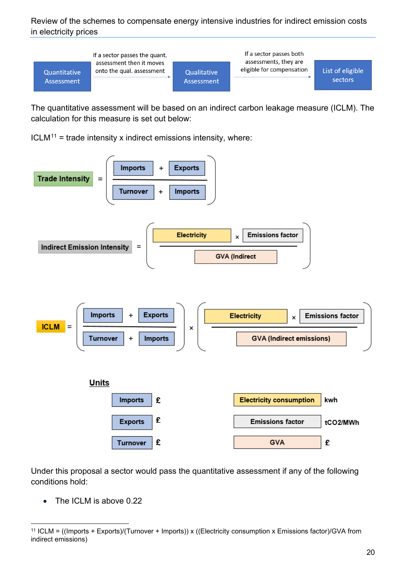

The quantitative assessment will be based on an indirect carbon leakage measure (ICLM). The calculation for this measure is set out below:

 $ICLM<sup>11</sup>$  $ICLM<sup>11</sup>$  $ICLM<sup>11</sup>$  = trade intensity x indirect emissions intensity, where:



Under this proposal a sector would pass the quantitative assessment if any of the following conditions hold:

• The ICLM is above 0.22

<span id="page-19-0"></span><sup>11</sup> ICLM = ((Imports + Exports)/(Turnover + Imports)) x ((Electricity consumption x Emissions factor)/GVA from indirect emissions)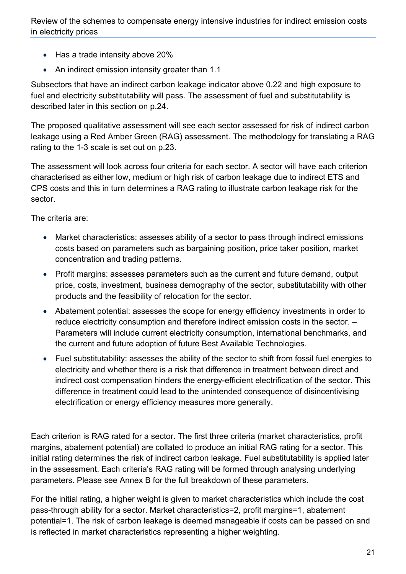- Has a trade intensity above 20%
- An indirect emission intensity greater than 1.1

Subsectors that have an indirect carbon leakage indicator above 0.22 and high exposure to fuel and electricity substitutability will pass. The assessment of fuel and substitutability is described later in this section on p.24.

The proposed qualitative assessment will see each sector assessed for risk of indirect carbon leakage using a Red Amber Green (RAG) assessment. The methodology for translating a RAG rating to the 1-3 scale is set out on p.23.

The assessment will look across four criteria for each sector. A sector will have each criterion characterised as either low, medium or high risk of carbon leakage due to indirect ETS and CPS costs and this in turn determines a RAG rating to illustrate carbon leakage risk for the sector.

The criteria are:

- Market characteristics: assesses ability of a sector to pass through indirect emissions costs based on parameters such as bargaining position, price taker position, market concentration and trading patterns.
- Profit margins: assesses parameters such as the current and future demand, output price, costs, investment, business demography of the sector, substitutability with other products and the feasibility of relocation for the sector.
- Abatement potential: assesses the scope for energy efficiency investments in order to reduce electricity consumption and therefore indirect emission costs in the sector. – Parameters will include current electricity consumption, international benchmarks, and the current and future adoption of future Best Available Technologies.
- Fuel substitutability: assesses the ability of the sector to shift from fossil fuel energies to electricity and whether there is a risk that difference in treatment between direct and indirect cost compensation hinders the energy-efficient electrification of the sector. This difference in treatment could lead to the unintended consequence of disincentivising electrification or energy efficiency measures more generally.

Each criterion is RAG rated for a sector. The first three criteria (market characteristics, profit margins, abatement potential) are collated to produce an initial RAG rating for a sector. This initial rating determines the risk of indirect carbon leakage. Fuel substitutability is applied later in the assessment. Each criteria's RAG rating will be formed through analysing underlying parameters. Please see Annex B for the full breakdown of these parameters.

For the initial rating, a higher weight is given to market characteristics which include the cost pass-through ability for a sector. Market characteristics=2, profit margins=1, abatement potential=1. The risk of carbon leakage is deemed manageable if costs can be passed on and is reflected in market characteristics representing a higher weighting.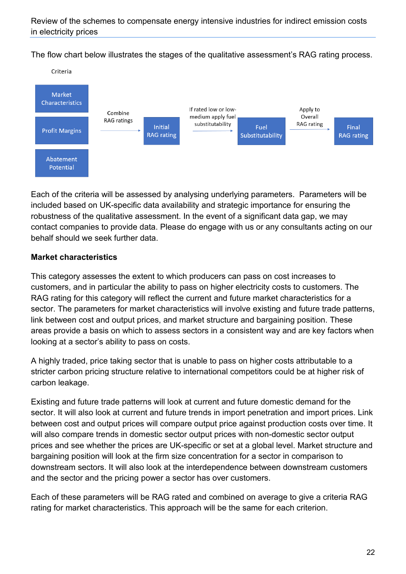The flow chart below illustrates the stages of the qualitative assessment's RAG rating process.



Each of the criteria will be assessed by analysing underlying parameters. Parameters will be included based on UK-specific data availability and strategic importance for ensuring the robustness of the qualitative assessment. In the event of a significant data gap, we may contact companies to provide data. Please do engage with us or any consultants acting on our behalf should we seek further data.

#### **Market characteristics**

This category assesses the extent to which producers can pass on cost increases to customers, and in particular the ability to pass on higher electricity costs to customers. The RAG rating for this category will reflect the current and future market characteristics for a sector. The parameters for market characteristics will involve existing and future trade patterns, link between cost and output prices, and market structure and bargaining position. These areas provide a basis on which to assess sectors in a consistent way and are key factors when looking at a sector's ability to pass on costs.

A highly traded, price taking sector that is unable to pass on higher costs attributable to a stricter carbon pricing structure relative to international competitors could be at higher risk of carbon leakage.

Existing and future trade patterns will look at current and future domestic demand for the sector. It will also look at current and future trends in import penetration and import prices. Link between cost and output prices will compare output price against production costs over time. It will also compare trends in domestic sector output prices with non-domestic sector output prices and see whether the prices are UK-specific or set at a global level. Market structure and bargaining position will look at the firm size concentration for a sector in comparison to downstream sectors. It will also look at the interdependence between downstream customers and the sector and the pricing power a sector has over customers.

Each of these parameters will be RAG rated and combined on average to give a criteria RAG rating for market characteristics. This approach will be the same for each criterion.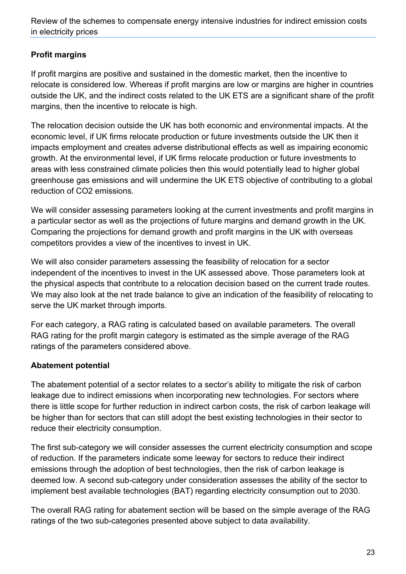#### **Profit margins**

If profit margins are positive and sustained in the domestic market, then the incentive to relocate is considered low. Whereas if profit margins are low or margins are higher in countries outside the UK, and the indirect costs related to the UK ETS are a significant share of the profit margins, then the incentive to relocate is high.

The relocation decision outside the UK has both economic and environmental impacts. At the economic level, if UK firms relocate production or future investments outside the UK then it impacts employment and creates adverse distributional effects as well as impairing economic growth. At the environmental level, if UK firms relocate production or future investments to areas with less constrained climate policies then this would potentially lead to higher global greenhouse gas emissions and will undermine the UK ETS objective of contributing to a global reduction of CO2 emissions.

We will consider assessing parameters looking at the current investments and profit margins in a particular sector as well as the projections of future margins and demand growth in the UK. Comparing the projections for demand growth and profit margins in the UK with overseas competitors provides a view of the incentives to invest in UK.

We will also consider parameters assessing the feasibility of relocation for a sector independent of the incentives to invest in the UK assessed above. Those parameters look at the physical aspects that contribute to a relocation decision based on the current trade routes. We may also look at the net trade balance to give an indication of the feasibility of relocating to serve the UK market through imports.

For each category, a RAG rating is calculated based on available parameters. The overall RAG rating for the profit margin category is estimated as the simple average of the RAG ratings of the parameters considered above.

#### **Abatement potential**

The abatement potential of a sector relates to a sector's ability to mitigate the risk of carbon leakage due to indirect emissions when incorporating new technologies. For sectors where there is little scope for further reduction in indirect carbon costs, the risk of carbon leakage will be higher than for sectors that can still adopt the best existing technologies in their sector to reduce their electricity consumption.

The first sub-category we will consider assesses the current electricity consumption and scope of reduction. If the parameters indicate some leeway for sectors to reduce their indirect emissions through the adoption of best technologies, then the risk of carbon leakage is deemed low. A second sub-category under consideration assesses the ability of the sector to implement best available technologies (BAT) regarding electricity consumption out to 2030.

The overall RAG rating for abatement section will be based on the simple average of the RAG ratings of the two sub-categories presented above subject to data availability.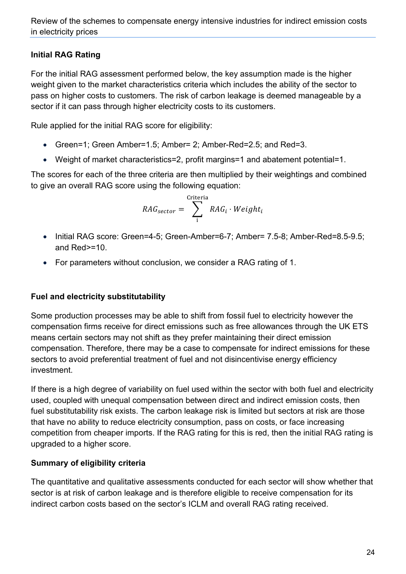#### **Initial RAG Rating**

For the initial RAG assessment performed below, the key assumption made is the higher weight given to the market characteristics criteria which includes the ability of the sector to pass on higher costs to customers. The risk of carbon leakage is deemed manageable by a sector if it can pass through higher electricity costs to its customers.

Rule applied for the initial RAG score for eligibility:

- Green=1; Green Amber=1.5; Amber= 2; Amber-Red=2.5; and Red=3.
- Weight of market characteristics=2, profit margins=1 and abatement potential=1.

The scores for each of the three criteria are then multiplied by their weightings and combined to give an overall RAG score using the following equation:

$$
RAG_{sector} = \sum_{i}^{Criterion} RAG_i \cdot Weight_i
$$

- Initial RAG score: Green=4-5; Green-Amber=6-7; Amber= 7.5-8; Amber-Red=8.5-9.5; and Red>=10.
- For parameters without conclusion, we consider a RAG rating of 1.

#### **Fuel and electricity substitutability**

Some production processes may be able to shift from fossil fuel to electricity however the compensation firms receive for direct emissions such as free allowances through the UK ETS means certain sectors may not shift as they prefer maintaining their direct emission compensation. Therefore, there may be a case to compensate for indirect emissions for these sectors to avoid preferential treatment of fuel and not disincentivise energy efficiency investment.

If there is a high degree of variability on fuel used within the sector with both fuel and electricity used, coupled with unequal compensation between direct and indirect emission costs, then fuel substitutability risk exists. The carbon leakage risk is limited but sectors at risk are those that have no ability to reduce electricity consumption, pass on costs, or face increasing competition from cheaper imports. If the RAG rating for this is red, then the initial RAG rating is upgraded to a higher score.

#### **Summary of eligibility criteria**

The quantitative and qualitative assessments conducted for each sector will show whether that sector is at risk of carbon leakage and is therefore eligible to receive compensation for its indirect carbon costs based on the sector's ICLM and overall RAG rating received.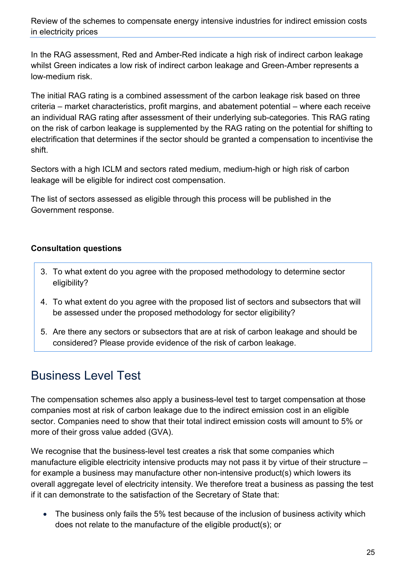In the RAG assessment, Red and Amber-Red indicate a high risk of indirect carbon leakage whilst Green indicates a low risk of indirect carbon leakage and Green-Amber represents a low-medium risk.

The initial RAG rating is a combined assessment of the carbon leakage risk based on three criteria – market characteristics, profit margins, and abatement potential – where each receive an individual RAG rating after assessment of their underlying sub-categories. This RAG rating on the risk of carbon leakage is supplemented by the RAG rating on the potential for shifting to electrification that determines if the sector should be granted a compensation to incentivise the shift.

Sectors with a high ICLM and sectors rated medium, medium-high or high risk of carbon leakage will be eligible for indirect cost compensation.

The list of sectors assessed as eligible through this process will be published in the Government response.

#### **Consultation questions**

- 3. To what extent do you agree with the proposed methodology to determine sector eligibility?
- 4. To what extent do you agree with the proposed list of sectors and subsectors that will be assessed under the proposed methodology for sector eligibility?
- 5. Are there any sectors or subsectors that are at risk of carbon leakage and should be considered? Please provide evidence of the risk of carbon leakage.

### <span id="page-24-0"></span>Business Level Test

The compensation schemes also apply a business-level test to target compensation at those companies most at risk of carbon leakage due to the indirect emission cost in an eligible sector. Companies need to show that their total indirect emission costs will amount to 5% or more of their gross value added (GVA).

We recognise that the business-level test creates a risk that some companies which manufacture eligible electricity intensive products may not pass it by virtue of their structure – for example a business may manufacture other non-intensive product(s) which lowers its overall aggregate level of electricity intensity. We therefore treat a business as passing the test if it can demonstrate to the satisfaction of the Secretary of State that:

• The business only fails the 5% test because of the inclusion of business activity which does not relate to the manufacture of the eligible product(s); or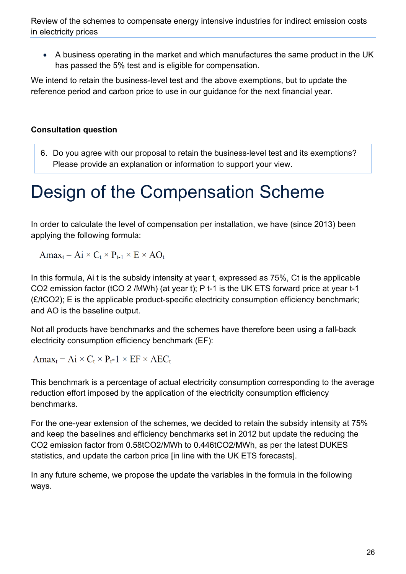• A business operating in the market and which manufactures the same product in the UK has passed the 5% test and is eligible for compensation.

We intend to retain the business-level test and the above exemptions, but to update the reference period and carbon price to use in our guidance for the next financial year.

#### **Consultation question**

6. Do you agree with our proposal to retain the business-level test and its exemptions? Please provide an explanation or information to support your view.

## <span id="page-25-0"></span>Design of the Compensation Scheme

In order to calculate the level of compensation per installation, we have (since 2013) been applying the following formula:

 $Amax_t = Ai \times C_t \times P_{t-1} \times E \times AO_t$ 

In this formula, Ai t is the subsidy intensity at year t, expressed as 75%, Ct is the applicable CO2 emission factor (tCO 2 /MWh) (at year t); P t-1 is the UK ETS forward price at year t-1  $(E/1CO2)$ ; E is the applicable product-specific electricity consumption efficiency benchmark; and AO is the baseline output.

Not all products have benchmarks and the schemes have therefore been using a fall-back electricity consumption efficiency benchmark (EF):

 $Amax_t = Ai \times C_t \times P_t - 1 \times EF \times AEC_t$ 

This benchmark is a percentage of actual electricity consumption corresponding to the average reduction effort imposed by the application of the electricity consumption efficiency benchmarks.

For the one-year extension of the schemes, we decided to retain the subsidy intensity at 75% and keep the baselines and efficiency benchmarks set in 2012 but update the reducing the CO2 emission factor from 0.58tCO2/MWh to 0.446tCO2/MWh, as per the latest DUKES statistics, and update the carbon price [in line with the UK ETS forecasts].

In any future scheme, we propose the update the variables in the formula in the following ways.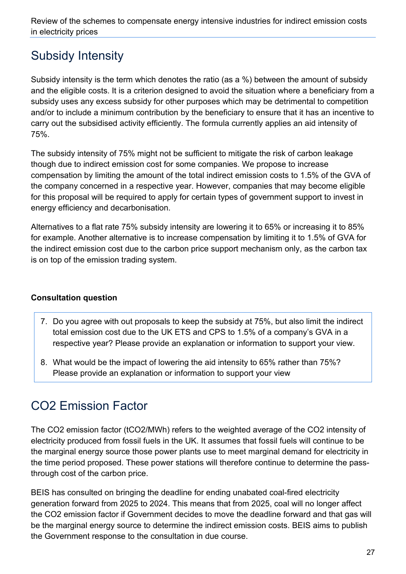## <span id="page-26-0"></span>Subsidy Intensity

Subsidy intensity is the term which denotes the ratio (as a %) between the amount of subsidy and the eligible costs. It is a criterion designed to avoid the situation where a beneficiary from a subsidy uses any excess subsidy for other purposes which may be detrimental to competition and/or to include a minimum contribution by the beneficiary to ensure that it has an incentive to carry out the subsidised activity efficiently. The formula currently applies an aid intensity of 75%.

The subsidy intensity of 75% might not be sufficient to mitigate the risk of carbon leakage though due to indirect emission cost for some companies. We propose to increase compensation by limiting the amount of the total indirect emission costs to 1.5% of the GVA of the company concerned in a respective year. However, companies that may become eligible for this proposal will be required to apply for certain types of government support to invest in energy efficiency and decarbonisation.

Alternatives to a flat rate 75% subsidy intensity are lowering it to 65% or increasing it to 85% for example. Another alternative is to increase compensation by limiting it to 1.5% of GVA for the indirect emission cost due to the carbon price support mechanism only, as the carbon tax is on top of the emission trading system.

#### **Consultation question**

- 7. Do you agree with out proposals to keep the subsidy at 75%, but also limit the indirect total emission cost due to the UK ETS and CPS to 1.5% of a company's GVA in a respective year? Please provide an explanation or information to support your view.
- 8. What would be the impact of lowering the aid intensity to 65% rather than 75%? Please provide an explanation or information to support your view

## <span id="page-26-1"></span>CO2 Emission Factor

The CO2 emission factor (tCO2/MWh) refers to the weighted average of the CO2 intensity of electricity produced from fossil fuels in the UK. It assumes that fossil fuels will continue to be the marginal energy source those power plants use to meet marginal demand for electricity in the time period proposed. These power stations will therefore continue to determine the passthrough cost of the carbon price.

BEIS has consulted on bringing the deadline for ending unabated coal-fired electricity generation forward from 2025 to 2024. This means that from 2025, coal will no longer affect the CO2 emission factor if Government decides to move the deadline forward and that gas will be the marginal energy source to determine the indirect emission costs. BEIS aims to publish the Government response to the consultation in due course.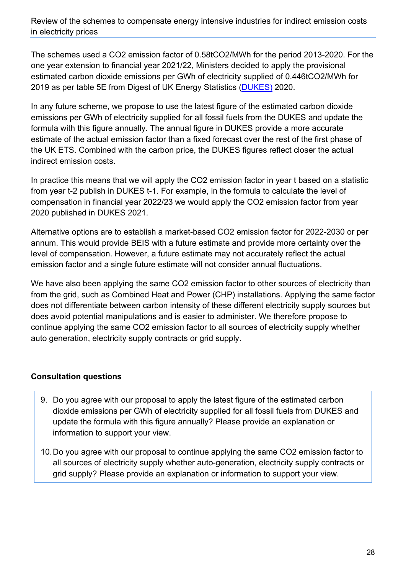The schemes used a CO2 emission factor of 0.58tCO2/MWh for the period 2013-2020. For the one year extension to financial year 2021/22, Ministers decided to apply the provisional estimated carbon dioxide emissions per GWh of electricity supplied of 0.446tCO2/MWh for 2019 as per table 5E from Digest of UK Energy Statistics [\(DUKES\)](https://www.gov.uk/government/statistics/digest-of-uk-energy-statistics-dukes-2020) 2020.

In any future scheme, we propose to use the latest figure of the estimated carbon dioxide emissions per GWh of electricity supplied for all fossil fuels from the DUKES and update the formula with this figure annually. The annual figure in DUKES provide a more accurate estimate of the actual emission factor than a fixed forecast over the rest of the first phase of the UK ETS. Combined with the carbon price, the DUKES figures reflect closer the actual indirect emission costs.

In practice this means that we will apply the CO2 emission factor in year t based on a statistic from year t-2 publish in DUKES t-1. For example, in the formula to calculate the level of compensation in financial year 2022/23 we would apply the CO2 emission factor from year 2020 published in DUKES 2021.

Alternative options are to establish a market-based CO2 emission factor for 2022-2030 or per annum. This would provide BEIS with a future estimate and provide more certainty over the level of compensation. However, a future estimate may not accurately reflect the actual emission factor and a single future estimate will not consider annual fluctuations.

We have also been applying the same CO2 emission factor to other sources of electricity than from the grid, such as Combined Heat and Power (CHP) installations. Applying the same factor does not differentiate between carbon intensity of these different electricity supply sources but does avoid potential manipulations and is easier to administer. We therefore propose to continue applying the same CO2 emission factor to all sources of electricity supply whether auto generation, electricity supply contracts or grid supply.

#### **Consultation questions**

- 9. Do you agree with our proposal to apply the latest figure of the estimated carbon dioxide emissions per GWh of electricity supplied for all fossil fuels from DUKES and update the formula with this figure annually? Please provide an explanation or information to support your view.
- 10.Do you agree with our proposal to continue applying the same CO2 emission factor to all sources of electricity supply whether auto-generation, electricity supply contracts or grid supply? Please provide an explanation or information to support your view.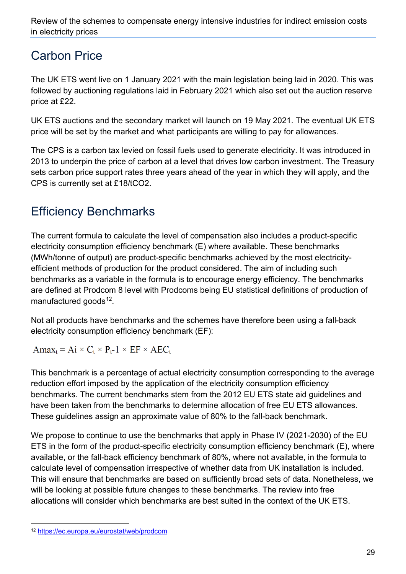### <span id="page-28-0"></span>Carbon Price

The UK ETS went live on 1 January 2021 with the main legislation being laid in 2020. This was followed by auctioning regulations laid in February 2021 which also set out the auction reserve price at £22.

UK ETS auctions and the secondary market will launch on 19 May 2021. The eventual UK ETS price will be set by the market and what participants are willing to pay for allowances.

The CPS is a carbon tax levied on fossil fuels used to generate electricity. It was introduced in 2013 to underpin the price of carbon at a level that drives low carbon investment. The Treasury sets carbon price support rates three years ahead of the year in which they will apply, and the CPS is currently set at £18/tCO2.

## <span id="page-28-1"></span>Efficiency Benchmarks

The current formula to calculate the level of compensation also includes a product-specific electricity consumption efficiency benchmark (E) where available. These benchmarks (MWh/tonne of output) are product-specific benchmarks achieved by the most electricityefficient methods of production for the product considered. The aim of including such benchmarks as a variable in the formula is to encourage energy efficiency. The benchmarks are defined at Prodcom 8 level with Prodcoms being EU statistical definitions of production of manufactured goods $12$ .

Not all products have benchmarks and the schemes have therefore been using a fall-back electricity consumption efficiency benchmark (EF):

 $Amax_t = Ai \times C_t \times P_t - 1 \times EF \times AEC_t$ 

This benchmark is a percentage of actual electricity consumption corresponding to the average reduction effort imposed by the application of the electricity consumption efficiency benchmarks. The current benchmarks stem from the 2012 EU ETS state aid guidelines and have been taken from the benchmarks to determine allocation of free EU ETS allowances. These guidelines assign an approximate value of 80% to the fall-back benchmark.

We propose to continue to use the benchmarks that apply in Phase IV (2021-2030) of the EU ETS in the form of the product-specific electricity consumption efficiency benchmark (E), where available, or the fall-back efficiency benchmark of 80%, where not available, in the formula to calculate level of compensation irrespective of whether data from UK installation is included. This will ensure that benchmarks are based on sufficiently broad sets of data. Nonetheless, we will be looking at possible future changes to these benchmarks. The review into free allocations will consider which benchmarks are best suited in the context of the UK ETS.

<span id="page-28-2"></span><sup>12</sup> <https://ec.europa.eu/eurostat/web/prodcom>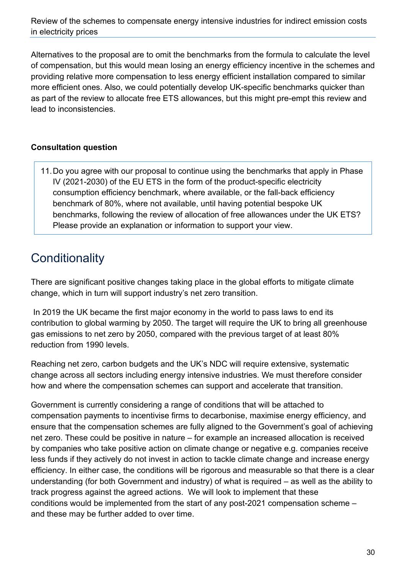Alternatives to the proposal are to omit the benchmarks from the formula to calculate the level of compensation, but this would mean losing an energy efficiency incentive in the schemes and providing relative more compensation to less energy efficient installation compared to similar more efficient ones. Also, we could potentially develop UK-specific benchmarks quicker than as part of the review to allocate free ETS allowances, but this might pre-empt this review and lead to inconsistencies.

#### **Consultation question**

11.Do you agree with our proposal to continue using the benchmarks that apply in Phase IV (2021-2030) of the EU ETS in the form of the product-specific electricity consumption efficiency benchmark, where available, or the fall-back efficiency benchmark of 80%, where not available, until having potential bespoke UK benchmarks, following the review of allocation of free allowances under the UK ETS? Please provide an explanation or information to support your view.

### <span id="page-29-0"></span>**Conditionality**

There are significant positive changes taking place in the global efforts to mitigate climate change, which in turn will support industry's net zero transition.

In 2019 the UK became the first major economy in the world to pass laws to end its contribution to global warming by 2050. The target will require the UK to bring all greenhouse gas emissions to net zero by 2050, compared with the previous target of at least 80% reduction from 1990 levels.

Reaching net zero, carbon budgets and the UK's NDC will require extensive, systematic change across all sectors including energy intensive industries. We must therefore consider how and where the compensation schemes can support and accelerate that transition.

Government is currently considering a range of conditions that will be attached to compensation payments to incentivise firms to decarbonise, maximise energy efficiency, and ensure that the compensation schemes are fully aligned to the Government's goal of achieving net zero. These could be positive in nature – for example an increased allocation is received by companies who take positive action on climate change or negative e.g. companies receive less funds if they actively do not invest in action to tackle climate change and increase energy efficiency. In either case, the conditions will be rigorous and measurable so that there is a clear understanding (for both Government and industry) of what is required – as well as the ability to track progress against the agreed actions. We will look to implement that these conditions would be implemented from the start of any post-2021 compensation scheme – and these may be further added to over time.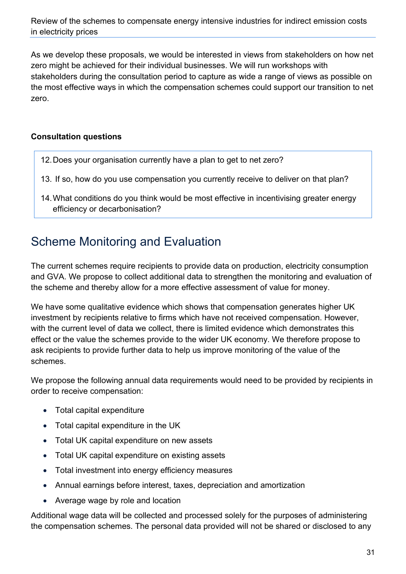As we develop these proposals, we would be interested in views from stakeholders on how net zero might be achieved for their individual businesses. We will run workshops with stakeholders during the consultation period to capture as wide a range of views as possible on the most effective ways in which the compensation schemes could support our transition to net zero.

#### **Consultation questions**

- 12.Does your organisation currently have a plan to get to net zero?
- 13. If so, how do you use compensation you currently receive to deliver on that plan?
- 14.What conditions do you think would be most effective in incentivising greater energy efficiency or decarbonisation?

## <span id="page-30-0"></span>Scheme Monitoring and Evaluation

The current schemes require recipients to provide data on production, electricity consumption and GVA. We propose to collect additional data to strengthen the monitoring and evaluation of the scheme and thereby allow for a more effective assessment of value for money.

We have some qualitative evidence which shows that compensation generates higher UK investment by recipients relative to firms which have not received compensation. However, with the current level of data we collect, there is limited evidence which demonstrates this effect or the value the schemes provide to the wider UK economy. We therefore propose to ask recipients to provide further data to help us improve monitoring of the value of the schemes.

We propose the following annual data requirements would need to be provided by recipients in order to receive compensation:

- Total capital expenditure
- Total capital expenditure in the UK
- Total UK capital expenditure on new assets
- Total UK capital expenditure on existing assets
- Total investment into energy efficiency measures
- Annual earnings before interest, taxes, depreciation and amortization
- Average wage by role and location

Additional wage data will be collected and processed solely for the purposes of administering the compensation schemes. The personal data provided will not be shared or disclosed to any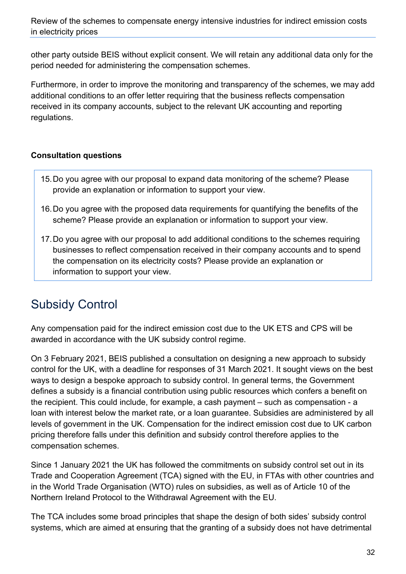other party outside BEIS without explicit consent. We will retain any additional data only for the period needed for administering the compensation schemes.

Furthermore, in order to improve the monitoring and transparency of the schemes, we may add additional conditions to an offer letter requiring that the business reflects compensation received in its company accounts, subject to the relevant UK accounting and reporting regulations.

#### **Consultation questions**

- 15.Do you agree with our proposal to expand data monitoring of the scheme? Please provide an explanation or information to support your view.
- 16.Do you agree with the proposed data requirements for quantifying the benefits of the scheme? Please provide an explanation or information to support your view.
- 17.Do you agree with our proposal to add additional conditions to the schemes requiring businesses to reflect compensation received in their company accounts and to spend the compensation on its electricity costs? Please provide an explanation or information to support your view.

## <span id="page-31-0"></span>Subsidy Control

Any compensation paid for the indirect emission cost due to the UK ETS and CPS will be awarded in accordance with the UK subsidy control regime.

On 3 February 2021, BEIS published a consultation on designing a new approach to subsidy control for the UK, with a deadline for responses of 31 March 2021. It sought views on the best ways to design a bespoke approach to subsidy control. In general terms, the Government defines a subsidy is a financial contribution using public resources which confers a benefit on the recipient. This could include, for example, a cash payment – such as compensation - a loan with interest below the market rate, or a loan guarantee. Subsidies are administered by all levels of government in the UK. Compensation for the indirect emission cost due to UK carbon pricing therefore falls under this definition and subsidy control therefore applies to the compensation schemes.

Since 1 January 2021 the UK has followed the commitments on subsidy control set out in its Trade and Cooperation Agreement (TCA) signed with the EU, in FTAs with other countries and in the World Trade Organisation (WTO) rules on subsidies, as well as of Article 10 of the Northern Ireland Protocol to the Withdrawal Agreement with the EU.

The TCA includes some broad principles that shape the design of both sides' subsidy control systems, which are aimed at ensuring that the granting of a subsidy does not have detrimental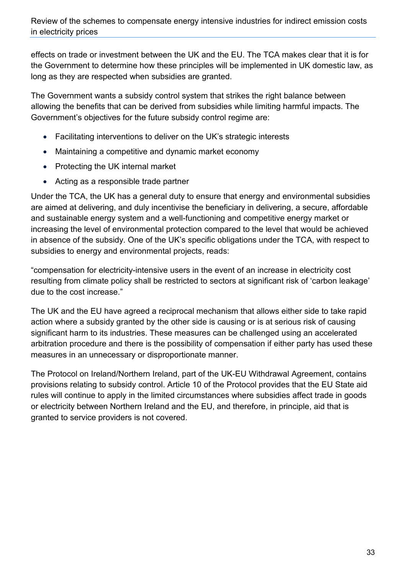effects on trade or investment between the UK and the EU. The TCA makes clear that it is for the Government to determine how these principles will be implemented in UK domestic law, as long as they are respected when subsidies are granted.

The Government wants a subsidy control system that strikes the right balance between allowing the benefits that can be derived from subsidies while limiting harmful impacts. The Government's objectives for the future subsidy control regime are:

- Facilitating interventions to deliver on the UK's strategic interests
- Maintaining a competitive and dynamic market economy
- Protecting the UK internal market
- Acting as a responsible trade partner

Under the TCA, the UK has a general duty to ensure that energy and environmental subsidies are aimed at delivering, and duly incentivise the beneficiary in delivering, a secure, affordable and sustainable energy system and a well-functioning and competitive energy market or increasing the level of environmental protection compared to the level that would be achieved in absence of the subsidy. One of the UK's specific obligations under the TCA, with respect to subsidies to energy and environmental projects, reads:

"compensation for electricity-intensive users in the event of an increase in electricity cost resulting from climate policy shall be restricted to sectors at significant risk of 'carbon leakage' due to the cost increase."

The UK and the EU have agreed a reciprocal mechanism that allows either side to take rapid action where a subsidy granted by the other side is causing or is at serious risk of causing significant harm to its industries. These measures can be challenged using an accelerated arbitration procedure and there is the possibility of compensation if either party has used these measures in an unnecessary or disproportionate manner.

<span id="page-32-0"></span>The Protocol on Ireland/Northern Ireland, part of the UK-EU Withdrawal Agreement, contains provisions relating to subsidy control. Article 10 of the Protocol provides that the EU State aid rules will continue to apply in the limited circumstances where subsidies affect trade in goods or electricity between Northern Ireland and the EU, and therefore, in principle, aid that is granted to service providers is not covered.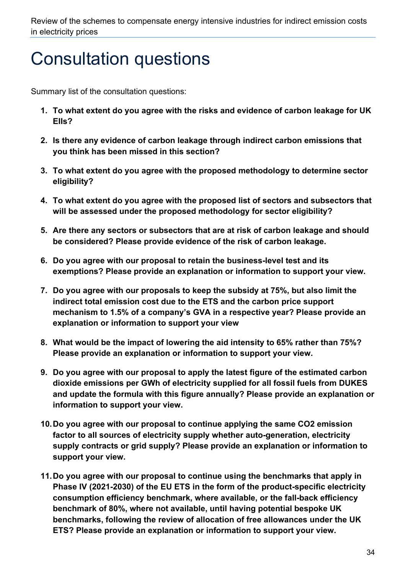## Consultation questions

Summary list of the consultation questions:

- **1. To what extent do you agree with the risks and evidence of carbon leakage for UK EIIs?**
- **2. Is there any evidence of carbon leakage through indirect carbon emissions that you think has been missed in this section?**
- **3. To what extent do you agree with the proposed methodology to determine sector eligibility?**
- **4. To what extent do you agree with the proposed list of sectors and subsectors that will be assessed under the proposed methodology for sector eligibility?**
- **5. Are there any sectors or subsectors that are at risk of carbon leakage and should be considered? Please provide evidence of the risk of carbon leakage.**
- **6. Do you agree with our proposal to retain the business-level test and its exemptions? Please provide an explanation or information to support your view.**
- **7. Do you agree with our proposals to keep the subsidy at 75%, but also limit the indirect total emission cost due to the ETS and the carbon price support mechanism to 1.5% of a company's GVA in a respective year? Please provide an explanation or information to support your view**
- **8. What would be the impact of lowering the aid intensity to 65% rather than 75%? Please provide an explanation or information to support your view.**
- **9. Do you agree with our proposal to apply the latest figure of the estimated carbon dioxide emissions per GWh of electricity supplied for all fossil fuels from DUKES and update the formula with this figure annually? Please provide an explanation or information to support your view.**
- **10.Do you agree with our proposal to continue applying the same CO2 emission factor to all sources of electricity supply whether auto-generation, electricity supply contracts or grid supply? Please provide an explanation or information to support your view.**
- **11.Do you agree with our proposal to continue using the benchmarks that apply in Phase IV (2021-2030) of the EU ETS in the form of the product-specific electricity consumption efficiency benchmark, where available, or the fall-back efficiency benchmark of 80%, where not available, until having potential bespoke UK benchmarks, following the review of allocation of free allowances under the UK ETS? Please provide an explanation or information to support your view.**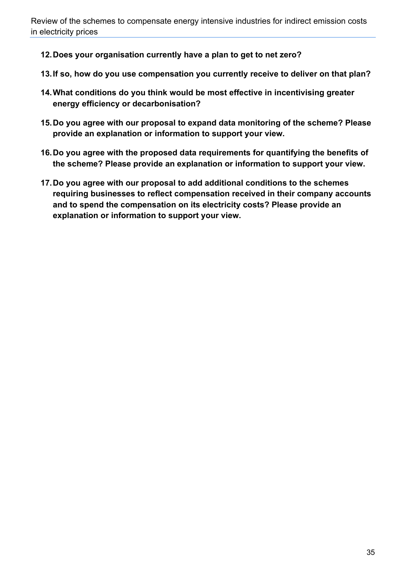- **12.Does your organisation currently have a plan to get to net zero?**
- **13.If so, how do you use compensation you currently receive to deliver on that plan?**
- **14.What conditions do you think would be most effective in incentivising greater energy efficiency or decarbonisation?**
- **15.Do you agree with our proposal to expand data monitoring of the scheme? Please provide an explanation or information to support your view.**
- **16.Do you agree with the proposed data requirements for quantifying the benefits of the scheme? Please provide an explanation or information to support your view.**
- <span id="page-34-0"></span>**17.Do you agree with our proposal to add additional conditions to the schemes requiring businesses to reflect compensation received in their company accounts and to spend the compensation on its electricity costs? Please provide an explanation or information to support your view.**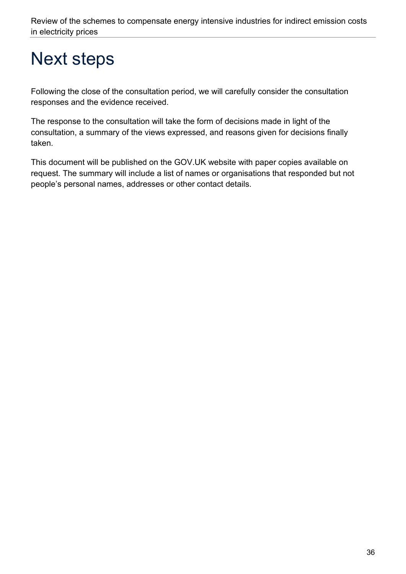## Next steps

Following the close of the consultation period, we will carefully consider the consultation responses and the evidence received.

The response to the consultation will take the form of decisions made in light of the consultation, a summary of the views expressed, and reasons given for decisions finally taken.

<span id="page-35-0"></span>This document will be published on the GOV.UK website with paper copies available on request. The summary will include a list of names or organisations that responded but not people's personal names, addresses or other contact details.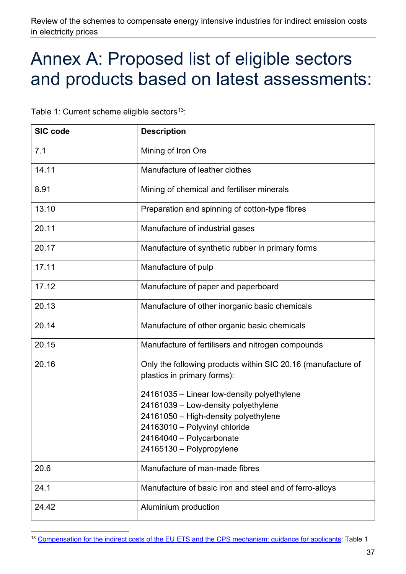## Annex A: Proposed list of eligible sectors and products based on latest assessments:

Table 1: Current scheme eligible sectors<sup>13</sup>:

| <b>SIC code</b> | <b>Description</b>                                                                          |
|-----------------|---------------------------------------------------------------------------------------------|
| 7.1             | Mining of Iron Ore                                                                          |
| 14.11           | Manufacture of leather clothes                                                              |
| 8.91            | Mining of chemical and fertiliser minerals                                                  |
| 13.10           | Preparation and spinning of cotton-type fibres                                              |
| 20.11           | Manufacture of industrial gases                                                             |
| 20.17           | Manufacture of synthetic rubber in primary forms                                            |
| 17.11           | Manufacture of pulp                                                                         |
| 17.12           | Manufacture of paper and paperboard                                                         |
| 20.13           | Manufacture of other inorganic basic chemicals                                              |
| 20.14           | Manufacture of other organic basic chemicals                                                |
| 20.15           | Manufacture of fertilisers and nitrogen compounds                                           |
| 20.16           | Only the following products within SIC 20.16 (manufacture of<br>plastics in primary forms): |
|                 | 24161035 - Linear low-density polyethylene                                                  |
|                 | 24161039 - Low-density polyethylene                                                         |
|                 | 24161050 - High-density polyethylene                                                        |
|                 | 24163010 - Polyvinyl chloride<br>24164040 - Polycarbonate                                   |
|                 | 24165130 - Polypropylene                                                                    |
| 20.6            | Manufacture of man-made fibres                                                              |
| 24.1            | Manufacture of basic iron and steel and of ferro-alloys                                     |
| 24.42           | Aluminium production                                                                        |

<span id="page-36-0"></span><sup>13</sup> Compensation for the indirect costs of the EU [ETS and the CPS mechanism: guidance for applicants:](https://assets.publishing.service.gov.uk/government/uploads/system/uploads/attachment_data/file/855926/eiis-compensation-for-indirect-costs-of-euets-and-carbon-price-support-mechanism-guidance.pdf) Table 1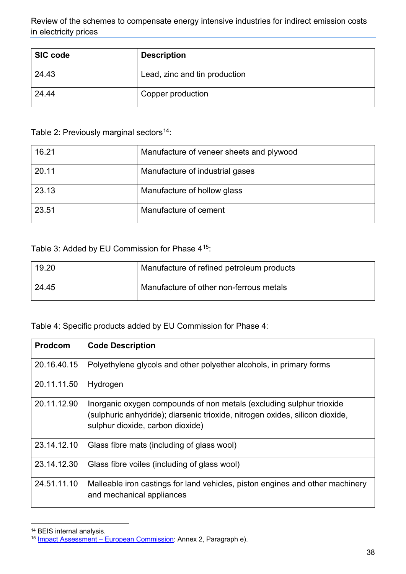| <b>SIC code</b> | <b>Description</b>            |
|-----------------|-------------------------------|
| 24.43           | Lead, zinc and tin production |
| 24.44           | Copper production             |

Table 2: Previously marginal sectors<sup>[14](#page-37-0)</sup>:

| 16.21 | Manufacture of veneer sheets and plywood |
|-------|------------------------------------------|
| 20.11 | Manufacture of industrial gases          |
| 23.13 | Manufacture of hollow glass              |
| 23.51 | Manufacture of cement                    |

Table 3: Added by EU Commission for Phase 4[15](#page-37-1):

| 19.20 | Manufacture of refined petroleum products |  |
|-------|-------------------------------------------|--|
| 24.45 | Manufacture of other non-ferrous metals   |  |

Table 4: Specific products added by EU Commission for Phase 4:

| <b>Prodcom</b> | <b>Code Description</b>                                                                                                                                                                  |
|----------------|------------------------------------------------------------------------------------------------------------------------------------------------------------------------------------------|
| 20.16.40.15    | Polyethylene glycols and other polyether alcohols, in primary forms                                                                                                                      |
| 20.11.11.50    | Hydrogen                                                                                                                                                                                 |
| 20.11.12.90    | Inorganic oxygen compounds of non metals (excluding sulphur trioxide<br>(sulphuric anhydride); diarsenic trioxide, nitrogen oxides, silicon dioxide,<br>sulphur dioxide, carbon dioxide) |
| 23.14.12.10    | Glass fibre mats (including of glass wool)                                                                                                                                               |
| 23.14.12.30    | Glass fibre voiles (including of glass wool)                                                                                                                                             |
| 24.51.11.10    | Malleable iron castings for land vehicles, piston engines and other machinery<br>and mechanical appliances                                                                               |

<span id="page-37-0"></span><sup>14</sup> BEIS internal analysis.

<span id="page-37-1"></span><sup>15</sup> Impact Assessment – [European Commission:](https://ec.europa.eu/competition/state_aid/what_is_new/2020_ets_revision/impact_assessment_report_ets_2021_en.pdf) Annex 2, Paragraph e).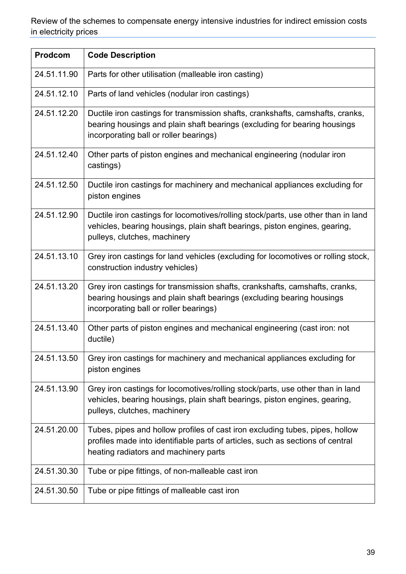| Prodcom     | <b>Code Description</b>                                                                                                                                                                                 |
|-------------|---------------------------------------------------------------------------------------------------------------------------------------------------------------------------------------------------------|
| 24.51.11.90 | Parts for other utilisation (malleable iron casting)                                                                                                                                                    |
| 24.51.12.10 | Parts of land vehicles (nodular iron castings)                                                                                                                                                          |
| 24.51.12.20 | Ductile iron castings for transmission shafts, crankshafts, camshafts, cranks,<br>bearing housings and plain shaft bearings (excluding for bearing housings<br>incorporating ball or roller bearings)   |
| 24.51.12.40 | Other parts of piston engines and mechanical engineering (nodular iron<br>castings)                                                                                                                     |
| 24.51.12.50 | Ductile iron castings for machinery and mechanical appliances excluding for<br>piston engines                                                                                                           |
| 24.51.12.90 | Ductile iron castings for locomotives/rolling stock/parts, use other than in land<br>vehicles, bearing housings, plain shaft bearings, piston engines, gearing,<br>pulleys, clutches, machinery         |
| 24.51.13.10 | Grey iron castings for land vehicles (excluding for locomotives or rolling stock,<br>construction industry vehicles)                                                                                    |
| 24.51.13.20 | Grey iron castings for transmission shafts, crankshafts, camshafts, cranks,<br>bearing housings and plain shaft bearings (excluding bearing housings<br>incorporating ball or roller bearings)          |
| 24.51.13.40 | Other parts of piston engines and mechanical engineering (cast iron: not<br>ductile)                                                                                                                    |
| 24.51.13.50 | Grey iron castings for machinery and mechanical appliances excluding for<br>piston engines                                                                                                              |
| 24.51.13.90 | Grey iron castings for locomotives/rolling stock/parts, use other than in land<br>vehicles, bearing housings, plain shaft bearings, piston engines, gearing,<br>pulleys, clutches, machinery            |
| 24.51.20.00 | Tubes, pipes and hollow profiles of cast iron excluding tubes, pipes, hollow<br>profiles made into identifiable parts of articles, such as sections of central<br>heating radiators and machinery parts |
| 24.51.30.30 | Tube or pipe fittings, of non-malleable cast iron                                                                                                                                                       |
| 24.51.30.50 | Tube or pipe fittings of malleable cast iron                                                                                                                                                            |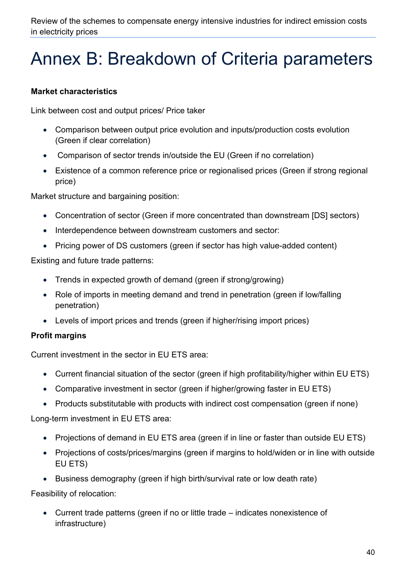## <span id="page-39-0"></span>Annex B: Breakdown of Criteria parameters

#### **Market characteristics**

Link between cost and output prices/ Price taker

- Comparison between output price evolution and inputs/production costs evolution (Green if clear correlation)
- Comparison of sector trends in/outside the EU (Green if no correlation)
- Existence of a common reference price or regionalised prices (Green if strong regional price)

Market structure and bargaining position:

- Concentration of sector (Green if more concentrated than downstream [DS] sectors)
- Interdependence between downstream customers and sector:
- Pricing power of DS customers (green if sector has high value-added content)

Existing and future trade patterns:

- Trends in expected growth of demand (green if strong/growing)
- Role of imports in meeting demand and trend in penetration (green if low/falling penetration)
- Levels of import prices and trends (green if higher/rising import prices)

#### **Profit margins**

Current investment in the sector in EU ETS area:

- Current financial situation of the sector (green if high profitability/higher within EU ETS)
- Comparative investment in sector (green if higher/growing faster in EU ETS)
- Products substitutable with products with indirect cost compensation (green if none)

Long-term investment in EU ETS area:

- Projections of demand in EU ETS area (green if in line or faster than outside EU ETS)
- Projections of costs/prices/margins (green if margins to hold/widen or in line with outside EU ETS)
- Business demography (green if high birth/survival rate or low death rate)

Feasibility of relocation:

• Current trade patterns (green if no or little trade – indicates nonexistence of infrastructure)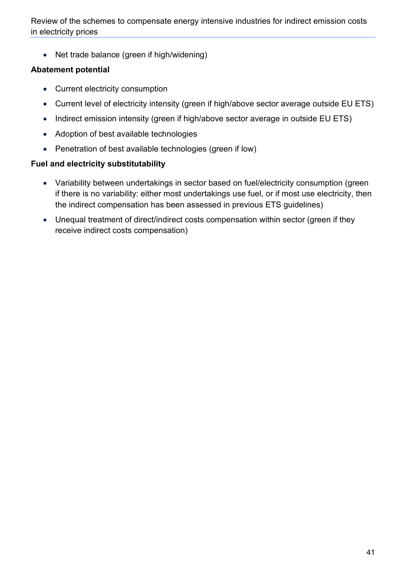• Net trade balance (green if high/widening)

#### **Abatement potential**

- Current electricity consumption
- Current level of electricity intensity (green if high/above sector average outside EU ETS)
- Indirect emission intensity (green if high/above sector average in outside EU ETS)
- Adoption of best available technologies
- Penetration of best available technologies (green if low)

#### **Fuel and electricity substitutability**

- Variability between undertakings in sector based on fuel/electricity consumption (green if there is no variability: either most undertakings use fuel, or if most use electricity, then the indirect compensation has been assessed in previous ETS guidelines)
- Unequal treatment of direct/indirect costs compensation within sector (green if they receive indirect costs compensation)